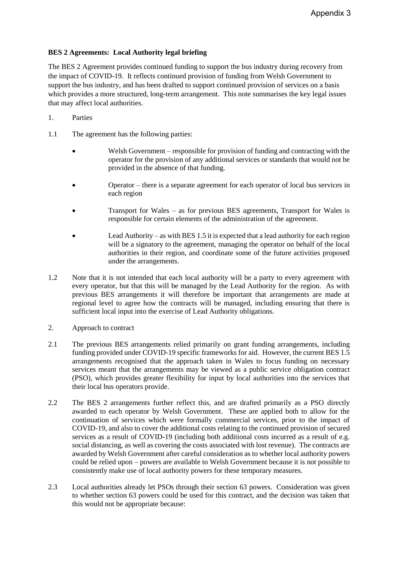## **BES 2 Agreements: Local Authority legal briefing**

The BES 2 Agreement provides continued funding to support the bus industry during recovery from the impact of COVID-19. It reflects continued provision of funding from Welsh Government to support the bus industry, and has been drafted to support continued provision of services on a basis which provides a more structured, long-term arrangement. This note summarises the key legal issues that may affect local authorities.

- 1. Parties
- 1.1 The agreement has the following parties:
	- Welsh Government responsible for provision of funding and contracting with the operator for the provision of any additional services or standards that would not be provided in the absence of that funding.
	- Operator there is a separate agreement for each operator of local bus services in each region
	- Transport for Wales as for previous BES agreements, Transport for Wales is responsible for certain elements of the administration of the agreement.
	- Lead Authority as with BES 1.5 it is expected that a lead authority for each region will be a signatory to the agreement, managing the operator on behalf of the local authorities in their region, and coordinate some of the future activities proposed under the arrangements.
- 1.2 Note that it is not intended that each local authority will be a party to every agreement with every operator, but that this will be managed by the Lead Authority for the region. As with previous BES arrangements it will therefore be important that arrangements are made at regional level to agree how the contracts will be managed, including ensuring that there is sufficient local input into the exercise of Lead Authority obligations.
- 2. Approach to contract
- 2.1 The previous BES arrangements relied primarily on grant funding arrangements, including funding provided under COVID-19 specific frameworks for aid. However, the current BES 1.5 arrangements recognised that the approach taken in Wales to focus funding on necessary services meant that the arrangements may be viewed as a public service obligation contract (PSO), which provides greater flexibility for input by local authorities into the services that their local bus operators provide.
- 2.2 The BES 2 arrangements further reflect this, and are drafted primarily as a PSO directly awarded to each operator by Welsh Government. These are applied both to allow for the continuation of services which were formally commercial services, prior to the impact of COVID-19, and also to cover the additional costs relating to the continued provision of secured services as a result of COVID-19 (including both additional costs incurred as a result of e.g. social distancing, as well as covering the costs associated with lost revenue). The contracts are awarded by Welsh Government after careful consideration as to whether local authority powers could be relied upon – powers are available to Welsh Government because it is not possible to consistently make use of local authority powers for these temporary measures.
- 2.3 Local authorities already let PSOs through their section 63 powers. Consideration was given to whether section 63 powers could be used for this contract, and the decision was taken that this would not be appropriate because: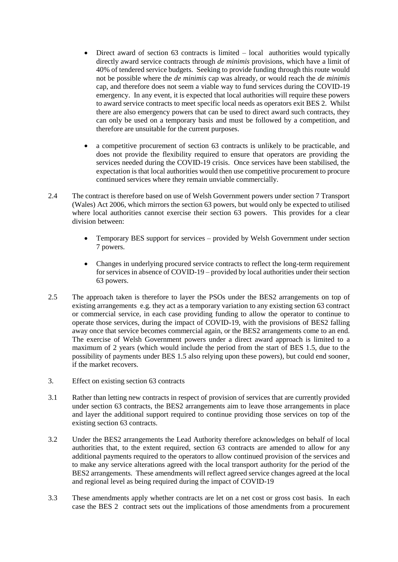- $\bullet$  Direct award of section 63 contracts is limited local authorities would typically directly award service contracts through *de minimis* provisions, which have a limit of 40% of tendered service budgets. Seeking to provide funding through this route would not be possible where the *de minimis* cap was already, or would reach the *de minimis*  cap, and therefore does not seem a viable way to fund services during the COVID-19 emergency. In any event, it is expected that local authorities will require these powers to award service contracts to meet specific local needs as operators exit BES 2. Whilst there are also emergency powers that can be used to direct award such contracts, they can only be used on a temporary basis and must be followed by a competition, and therefore are unsuitable for the current purposes.
- a competitive procurement of section 63 contracts is unlikely to be practicable, and does not provide the flexibility required to ensure that operators are providing the services needed during the COVID-19 crisis. Once services have been stabilised, the expectation is that local authorities would then use competitive procurement to procure continued services where they remain unviable commercially.
- 2.4 The contract is therefore based on use of Welsh Government powers under section 7 Transport (Wales) Act 2006, which mirrors the section 63 powers, but would only be expected to utilised where local authorities cannot exercise their section 63 powers. This provides for a clear division between:
	- Temporary BES support for services provided by Welsh Government under section 7 powers.
	- Changes in underlying procured service contracts to reflect the long-term requirement for services in absence of COVID-19 – provided by local authorities under their section 63 powers.
- 2.5 The approach taken is therefore to layer the PSOs under the BES2 arrangements on top of existing arrangements e.g. they act as a temporary variation to any existing section 63 contract or commercial service, in each case providing funding to allow the operator to continue to operate those services, during the impact of COVID-19, with the provisions of BES2 falling away once that service becomes commercial again, or the BES2 arrangements come to an end. The exercise of Welsh Government powers under a direct award approach is limited to a maximum of 2 years (which would include the period from the start of BES 1.5, due to the possibility of payments under BES 1.5 also relying upon these powers), but could end sooner, if the market recovers.
- 3. Effect on existing section 63 contracts
- 3.1 Rather than letting new contracts in respect of provision of services that are currently provided under section 63 contracts, the BES2 arrangements aim to leave those arrangements in place and layer the additional support required to continue providing those services on top of the existing section 63 contracts.
- 3.2 Under the BES2 arrangements the Lead Authority therefore acknowledges on behalf of local authorities that, to the extent required, section 63 contracts are amended to allow for any additional payments required to the operators to allow continued provision of the services and to make any service alterations agreed with the local transport authority for the period of the BES2 arrangements. These amendments will reflect agreed service changes agreed at the local and regional level as being required during the impact of COVID-19
- 3.3 These amendments apply whether contracts are let on a net cost or gross cost basis. In each case the BES 2 contract sets out the implications of those amendments from a procurement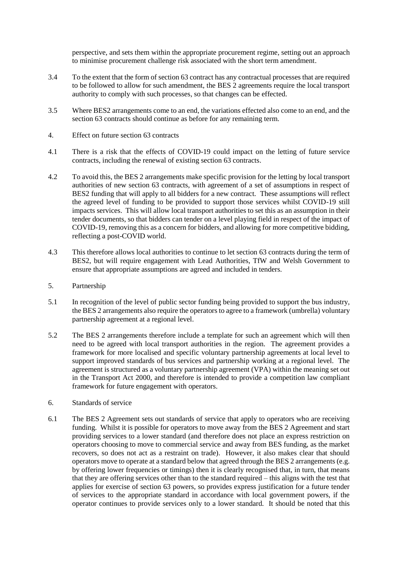perspective, and sets them within the appropriate procurement regime, setting out an approach to minimise procurement challenge risk associated with the short term amendment.

- 3.4 To the extent that the form of section 63 contract has any contractual processes that are required to be followed to allow for such amendment, the BES 2 agreements require the local transport authority to comply with such processes, so that changes can be effected.
- 3.5 Where BES2 arrangements come to an end, the variations effected also come to an end, and the section 63 contracts should continue as before for any remaining term.
- 4. Effect on future section 63 contracts
- 4.1 There is a risk that the effects of COVID-19 could impact on the letting of future service contracts, including the renewal of existing section 63 contracts.
- 4.2 To avoid this, the BES 2 arrangements make specific provision for the letting by local transport authorities of new section 63 contracts, with agreement of a set of assumptions in respect of BES2 funding that will apply to all bidders for a new contract. These assumptions will reflect the agreed level of funding to be provided to support those services whilst COVID-19 still impacts services. This will allow local transport authorities to set this as an assumption in their tender documents, so that bidders can tender on a level playing field in respect of the impact of COVID-19, removing this as a concern for bidders, and allowing for more competitive bidding, reflecting a post-COVID world.
- 4.3 This therefore allows local authorities to continue to let section 63 contracts during the term of BES2, but will require engagement with Lead Authorities, TfW and Welsh Government to ensure that appropriate assumptions are agreed and included in tenders.
- 5. Partnership
- 5.1 In recognition of the level of public sector funding being provided to support the bus industry, the BES 2 arrangements also require the operators to agree to a framework (umbrella) voluntary partnership agreement at a regional level.
- 5.2 The BES 2 arrangements therefore include a template for such an agreement which will then need to be agreed with local transport authorities in the region. The agreement provides a framework for more localised and specific voluntary partnership agreements at local level to support improved standards of bus services and partnership working at a regional level. The agreement is structured as a voluntary partnership agreement (VPA) within the meaning set out in the Transport Act 2000, and therefore is intended to provide a competition law compliant framework for future engagement with operators.
- 6. Standards of service
- 6.1 The BES 2 Agreement sets out standards of service that apply to operators who are receiving funding. Whilst it is possible for operators to move away from the BES 2 Agreement and start providing services to a lower standard (and therefore does not place an express restriction on operators choosing to move to commercial service and away from BES funding, as the market recovers, so does not act as a restraint on trade). However, it also makes clear that should operators move to operate at a standard below that agreed through the BES 2 arrangements (e.g. by offering lower frequencies or timings) then it is clearly recognised that, in turn, that means that they are offering services other than to the standard required – this aligns with the test that applies for exercise of section 63 powers, so provides express justification for a future tender of services to the appropriate standard in accordance with local government powers, if the operator continues to provide services only to a lower standard. It should be noted that this